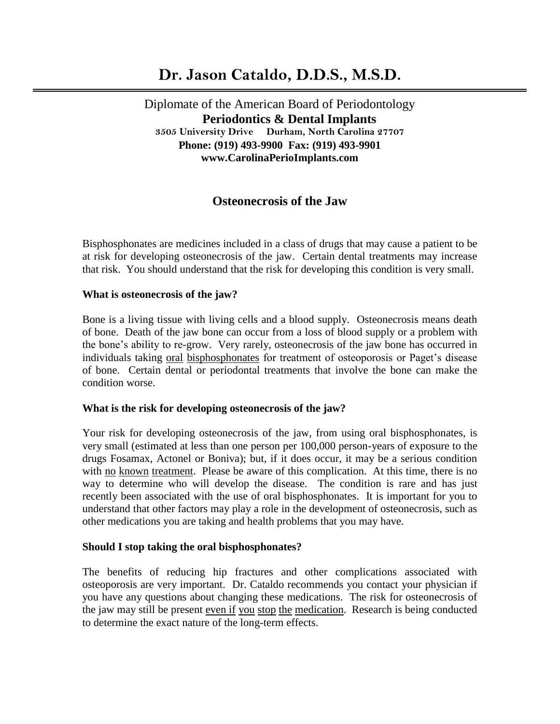# **Dr. Jason Cataldo, D.D.S., M.S.D.**

Diplomate of the American Board of Periodontology  **Periodontics & Dental Implants 3505 University Drive Durham, North Carolina 27707 Phone: (919) 493-9900 Fax: (919) 493-9901 www.CarolinaPerioImplants.com**

# **Osteonecrosis of the Jaw**

Bisphosphonates are medicines included in a class of drugs that may cause a patient to be at risk for developing osteonecrosis of the jaw. Certain dental treatments may increase that risk. You should understand that the risk for developing this condition is very small.

## **What is osteonecrosis of the jaw?**

Bone is a living tissue with living cells and a blood supply. Osteonecrosis means death of bone. Death of the jaw bone can occur from a loss of blood supply or a problem with the bone's ability to re-grow. Very rarely, osteonecrosis of the jaw bone has occurred in individuals taking oral bisphosphonates for treatment of osteoporosis or Paget's disease of bone. Certain dental or periodontal treatments that involve the bone can make the condition worse.

## **What is the risk for developing osteonecrosis of the jaw?**

Your risk for developing osteonecrosis of the jaw, from using oral bisphosphonates, is very small (estimated at less than one person per 100,000 person-years of exposure to the drugs Fosamax, Actonel or Boniva); but, if it does occur, it may be a serious condition with no known treatment. Please be aware of this complication. At this time, there is no way to determine who will develop the disease. The condition is rare and has just recently been associated with the use of oral bisphosphonates. It is important for you to understand that other factors may play a role in the development of osteonecrosis, such as other medications you are taking and health problems that you may have.

## **Should I stop taking the oral bisphosphonates?**

The benefits of reducing hip fractures and other complications associated with osteoporosis are very important. Dr. Cataldo recommends you contact your physician if you have any questions about changing these medications. The risk for osteonecrosis of the jaw may still be present even if you stop the medication. Research is being conducted to determine the exact nature of the long-term effects.